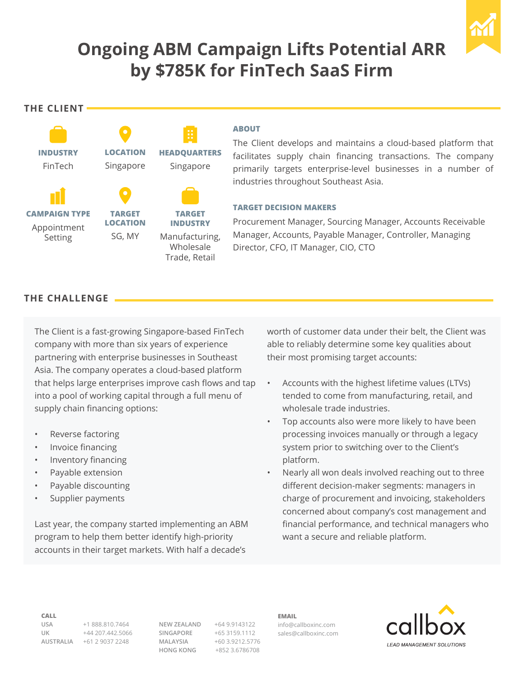

# **Ongoing ABM Campaign Lifts Potential ARR by \$785K for FinTech SaaS Firm**

**The Client**



#### **ABOUT**

The Client develops and maintains a cloud-based platform that facilitates supply chain financing transactions. The company primarily targets enterprise-level businesses in a number of industries throughout Southeast Asia.

#### **TARGET DECISION MAKERS**

Procurement Manager, Sourcing Manager, Accounts Receivable Manager, Accounts, Payable Manager, Controller, Managing Director, CFO, IT Manager, CIO, CTO

### **The CHALLENGE**

The Client is a fast-growing Singapore-based FinTech company with more than six years of experience partnering with enterprise businesses in Southeast Asia. The company operates a cloud-based platform that helps large enterprises improve cash flows and tap into a pool of working capital through a full menu of supply chain financing options:

- Reverse factoring
- Invoice financing
- Inventory financing
- Payable extension
- Payable discounting
- Supplier payments

Last year, the company started implementing an ABM program to help them better identify high-priority accounts in their target markets. With half a decade's

worth of customer data under their belt, the Client was able to reliably determine some key qualities about their most promising target accounts:

- Accounts with the highest lifetime values (LTVs) tended to come from manufacturing, retail, and wholesale trade industries.
- Top accounts also were more likely to have been processing invoices manually or through a legacy system prior to switching over to the Client's platform.
- Nearly all won deals involved reaching out to three different decision-maker segments: managers in charge of procurement and invoicing, stakeholders concerned about company's cost management and financial performance, and technical managers who want a secure and reliable platform.

**Call**

**USA** +1 888.810.7464 **UK** +44 207.442.5066 **AUSTRALIA** +61 2 9037 2248

**NEW ZEALAND** +64 9.9143122 **SINGAPORE** +65 3159.1112 **MALAYSIA** +60 3.9212.5776 **HONG KONG** +852 3.6786708

**Email** info@callboxinc.com sales@callboxinc.com

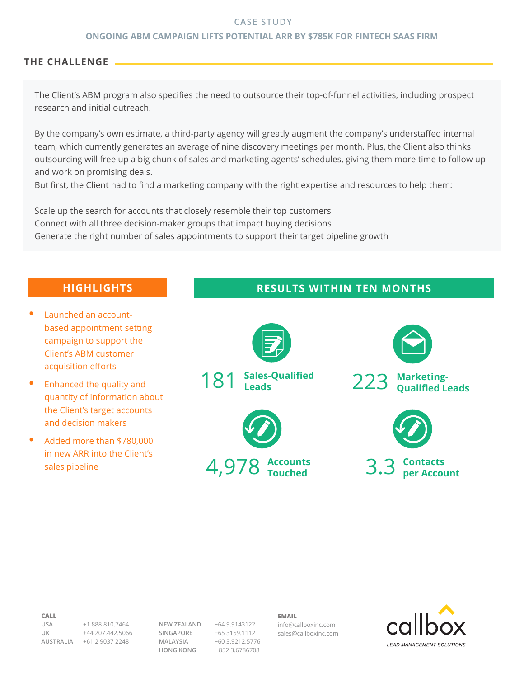#### **CASE STUDY**

#### **Ongoing ABM Campaign Lifts Potential ARR by \$785K for FinTech SaaS Firm**

#### **The CHALLENGE**

The Client's ABM program also specifies the need to outsource their top-of-funnel activities, including prospect research and initial outreach.

By the company's own estimate, a third-party agency will greatly augment the company's understaffed internal team, which currently generates an average of nine discovery meetings per month. Plus, the Client also thinks outsourcing will free up a big chunk of sales and marketing agents' schedules, giving them more time to follow up and work on promising deals.

But first, the Client had to find a marketing company with the right expertise and resources to help them:

Scale up the search for accounts that closely resemble their top customers Connect with all three decision-maker groups that impact buying decisions Generate the right number of sales appointments to support their target pipeline growth

- **Launched an account**based appointment setting campaign to support the Client's ABM customer acquisition efforts
- **•**  Enhanced the quality and quantity of information about the Client's target accounts and decision makers
- **•**  Added more than \$780,000 in new ARR into the Client's sales pipeline

## **Highlights Results within TEN MONTHS**



#### **Call**

**USA** +1 888.810.7464 **UK** +44 207.442.5066 **AUSTRALIA** +61 2 9037 2248

**NEW ZEALAND** +64 9.9143122 **SINGAPORE** +65 3159.1112 **MALAYSIA** +60 3.9212.5776 **HONG KONG** +852 3.6786708

**Email**

info@callboxinc.com sales@callboxinc.com

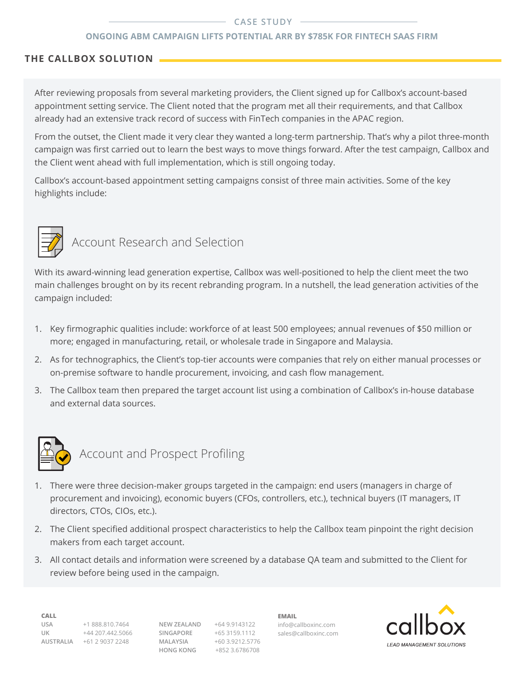#### **CASE STUDY**

#### **Ongoing ABM Campaign Lifts Potential ARR by \$785K for FinTech SaaS Firm**

#### **THE CALLBOX SOLUTION**

After reviewing proposals from several marketing providers, the Client signed up for Callbox's account-based appointment setting service. The Client noted that the program met all their requirements, and that Callbox already had an extensive track record of success with FinTech companies in the APAC region.

From the outset, the Client made it very clear they wanted a long-term partnership. That's why a pilot three-month campaign was first carried out to learn the best ways to move things forward. After the test campaign, Callbox and the Client went ahead with full implementation, which is still ongoing today.

Callbox's account-based appointment setting campaigns consist of three main activities. Some of the key highlights include:



# Account Research and Selection

With its award-winning lead generation expertise, Callbox was well-positioned to help the client meet the two main challenges brought on by its recent rebranding program. In a nutshell, the lead generation activities of the campaign included:

- 1. Key firmographic qualities include: workforce of at least 500 employees; annual revenues of \$50 million or more; engaged in manufacturing, retail, or wholesale trade in Singapore and Malaysia.
- 2. As for technographics, the Client's top-tier accounts were companies that rely on either manual processes or on-premise software to handle procurement, invoicing, and cash flow management.
- 3. The Callbox team then prepared the target account list using a combination of Callbox's in-house database and external data sources.



# Account and Prospect Profiling

- 1. There were three decision-maker groups targeted in the campaign: end users (managers in charge of procurement and invoicing), economic buyers (CFOs, controllers, etc.), technical buyers (IT managers, IT directors, CTOs, CIOs, etc.).
- 2. The Client specified additional prospect characteristics to help the Callbox team pinpoint the right decision makers from each target account.
- 3. All contact details and information were screened by a database QA team and submitted to the Client for review before being used in the campaign.

**Call**

**USA** +1 888.810.7464 **UK** +44 207.442.5066 **AUSTRALIA** +61 2 9037 2248

**NEW ZEALAND** +64 9.9143122 **SINGAPORE** +65 3159.1112 **MALAYSIA** +60 3.9212.5776 **HONG KONG** +852 3.6786708

**Email** info@callboxinc.com sales@callboxinc.com